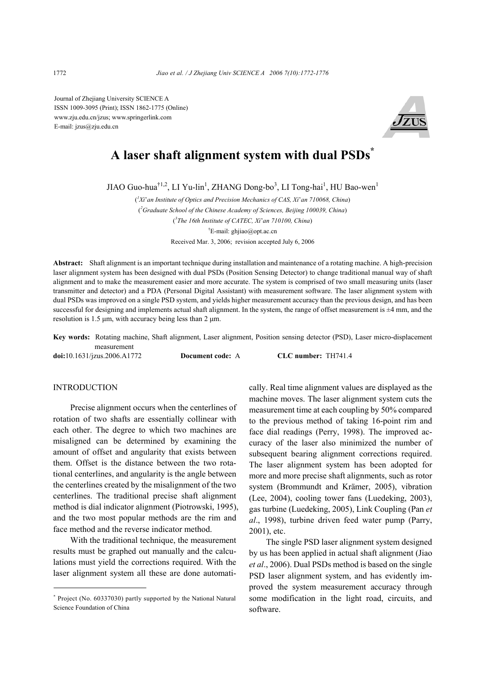Journal of Zhejiang University SCIENCE A ISSN 1009-3095 (Print); ISSN 1862-1775 (Online) www.zju.edu.cn/jzus; www.springerlink.com E-mail: jzus@zju.edu.cn



# **A laser shaft alignment system with dual PSDs\***

JIAO Guo-hua<sup>†1,2</sup>, LI Yu-lin<sup>1</sup>, ZHANG Dong-bo<sup>3</sup>, LI Tong-hai<sup>1</sup>, HU Bao-wen<sup>1</sup>

( *1 Xi*'*an Institute of Optics and Precision Mechanics of CAS, Xi*'*an 710068, China*) ( *2 Graduate School of the Chinese Academy of Sciences, Beijing 100039, China*) ( *3 The 16th Institute of CATEC, Xi*'*an 710100, China*) † E-mail: ghjiao@opt.ac.cn Received Mar. 3, 2006; revision accepted July 6, 2006

**Abstract:** Shaft alignment is an important technique during installation and maintenance of a rotating machine. A high-precision laser alignment system has been designed with dual PSDs (Position Sensing Detector) to change traditional manual way of shaft alignment and to make the measurement easier and more accurate. The system is comprised of two small measuring units (laser transmitter and detector) and a PDA (Personal Digital Assistant) with measurement software. The laser alignment system with dual PSDs was improved on a single PSD system, and yields higher measurement accuracy than the previous design, and has been successful for designing and implements actual shaft alignment. In the system, the range of offset measurement is  $\pm 4$  mm, and the resolution is 1.5 µm, with accuracy being less than 2 µm.

**Key words:** Rotating machine, Shaft alignment, Laser alignment, Position sensing detector (PSD), Laser micro-displacement measurement

**doi:**10.1631/jzus.2006.A1772 **Document code:** A **CLC number:** TH741.4

# **INTRODUCTION**

Precise alignment occurs when the centerlines of rotation of two shafts are essentially collinear with each other. The degree to which two machines are misaligned can be determined by examining the amount of offset and angularity that exists between them. Offset is the distance between the two rotational centerlines, and angularity is the angle between the centerlines created by the misalignment of the two centerlines. The traditional precise shaft alignment method is dial indicator alignment (Piotrowski, 1995), and the two most popular methods are the rim and face method and the reverse indicator method.

With the traditional technique, the measurement results must be graphed out manually and the calculations must yield the corrections required. With the laser alignment system all these are done automatically. Real time alignment values are displayed as the machine moves. The laser alignment system cuts the measurement time at each coupling by 50% compared to the previous method of taking 16-point rim and face dial readings (Perry, 1998). The improved accuracy of the laser also minimized the number of subsequent bearing alignment corrections required. The laser alignment system has been adopted for more and more precise shaft alignments, such as rotor system (Brommundt and Krämer, 2005), vibration (Lee, 2004), cooling tower fans (Luedeking, 2003), gas turbine (Luedeking, 2005), Link Coupling (Pan *et al*., 1998), turbine driven feed water pump (Parry, 2001), etc.

The single PSD laser alignment system designed by us has been applied in actual shaft alignment (Jiao *et al*., 2006). Dual PSDs method is based on the single PSD laser alignment system, and has evidently improved the system measurement accuracy through some modification in the light road, circuits, and software.

<sup>\*</sup> Project (No. 60337030) partly supported by the National Natural Science Foundation of China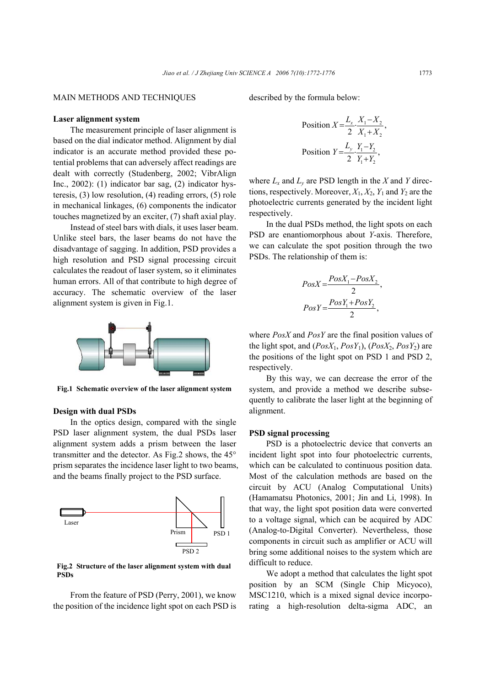## MAIN METHODS AND TECHNIQUES

described by the formula below:

### **Laser alignment system**

The measurement principle of laser alignment is based on the dial indicator method. Alignment by dial indicator is an accurate method provided these potential problems that can adversely affect readings are dealt with correctly (Studenberg, 2002; VibrAlign Inc., 2002): (1) indicator bar sag, (2) indicator hysteresis, (3) low resolution, (4) reading errors, (5) role in mechanical linkages, (6) components the indicator touches magnetized by an exciter, (7) shaft axial play.

Instead of steel bars with dials, it uses laser beam. Unlike steel bars, the laser beams do not have the disadvantage of sagging. In addition, PSD provides a high resolution and PSD signal processing circuit calculates the readout of laser system, so it eliminates human errors. All of that contribute to high degree of accuracy. The schematic overview of the laser alignment system is given in Fig.1.



**Fig.1 Schematic overview of the laser alignment system**

#### **Design with dual PSDs**

In the optics design, compared with the single PSD laser alignment system, the dual PSDs laser alignment system adds a prism between the laser transmitter and the detector. As Fig.2 shows, the 45° prism separates the incidence laser light to two beams, and the beams finally project to the PSD surface.



**Fig.2 Structure of the laser alignment system with dual PSDs** 

From the feature of PSD (Perry, 2001), we know the position of the incidence light spot on each PSD is

 $1 \t 2$ Position  $X = \frac{L_x}{2} \cdot \frac{X_1 - X_2}{X_1 + X_2}$ ,  $=\frac{L_{x}}{2} \cdot \frac{X_{1}-X}{X_{1}+X}$  $1 \quad 12$ Position  $Y = \frac{-y}{2} \cdot \frac{1}{Y_1 + Y_2}$ ,  $Y = \frac{L_y}{\sigma} \cdot \frac{Y_1 - Y_2}{\sigma}$  $=\frac{L_y}{2} \cdot \frac{Y_1 - Y_2}{Y_1 + Y_2}$ 

where  $L_x$  and  $L_y$  are PSD length in the *X* and *Y* directions, respectively. Moreover,  $X_1, X_2, Y_1$  and  $Y_2$  are the photoelectric currents generated by the incident light respectively.

In the dual PSDs method, the light spots on each PSD are enantiomorphous about *Y*-axis. Therefore, we can calculate the spot position through the two PSDs. The relationship of them is:

$$
PosX = \frac{PosX_1 - PosX_2}{2},
$$

$$
PosY = \frac{PosY_1 + PosY_2}{2},
$$

where *PosX* and *PosY* are the final position values of the light spot, and  $(PosX_1, PosY_1)$ ,  $(PosX_2, PosY_2)$  are the positions of the light spot on PSD 1 and PSD 2, respectively.

By this way, we can decrease the error of the system, and provide a method we describe subsequently to calibrate the laser light at the beginning of alignment.

### **PSD signal processing**

PSD is a photoelectric device that converts an incident light spot into four photoelectric currents, which can be calculated to continuous position data. Most of the calculation methods are based on the circuit by ACU (Analog Computational Units) (Hamamatsu Photonics, 2001; Jin and Li, 1998). In that way, the light spot position data were converted to a voltage signal, which can be acquired by ADC (Analog-to-Digital Converter). Nevertheless, those components in circuit such as amplifier or ACU will bring some additional noises to the system which are difficult to reduce.

We adopt a method that calculates the light spot position by an SCM (Single Chip Micyoco), MSC1210, which is a mixed signal device incorporating a high-resolution delta-sigma ADC, an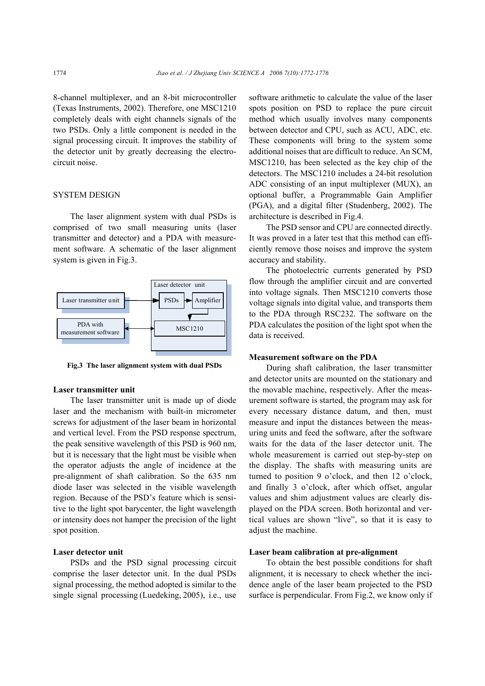8-channel multiplexer, and an 8-bit microcontroller (Texas Instruments, 2002). Therefore, one MSC1210 completely deals with eight channels signals of the two PSDs. Only a little component is needed in the signal processing circuit. It improves the stability of the detector unit by greatly decreasing the electrocircuit noise.

# SYSTEM DESIGN

The laser alignment system with dual PSDs is comprised of two small measuring units (laser transmitter and detector) and a PDA with measurement software. A schematic of the laser alignment system is given in Fig.3.



**Fig.3 The laser alignment system with dual PSDs**

#### **Laser transmitter unit**

The laser transmitter unit is made up of diode laser and the mechanism with built-in micrometer screws for adjustment of the laser beam in horizontal and vertical level. From the PSD response spectrum, the peak sensitive wavelength of this PSD is 960 nm, but it is necessary that the light must be visible when the operator adjusts the angle of incidence at the pre-alignment of shaft calibration. So the 635 nm diode laser was selected in the visible wavelength region. Because of the PSD's feature which is sensitive to the light spot barycenter, the light wavelength or intensity does not hamper the precision of the light spot position.

# **Laser detector unit**

PSDs and the PSD signal processing circuit comprise the laser detector unit. In the dual PSDs signal processing, the method adopted is similar to the single signal processing (Luedeking, 2005), i.e., use

software arithmetic to calculate the value of the laser spots position on PSD to replace the pure circuit method which usually involves many components between detector and CPU, such as ACU, ADC, etc. These components will bring to the system some additional noises that are difficult to reduce. An SCM, MSC1210, has been selected as the key chip of the detectors. The MSC1210 includes a 24-bit resolution ADC consisting of an input multiplexer (MUX), an optional buffer, a Programmable Gain Amplifier (PGA), and a digital filter (Studenberg, 2002). The architecture is described in Fig.4.

The PSD sensor and CPU are connected directly. It was proved in a later test that this method can efficiently remove those noises and improve the system accuracy and stability.

The photoelectric currents generated by PSD flow through the amplifier circuit and are converted into voltage signals. Then MSC1210 converts those voltage signals into digital value, and transports them to the PDA through RSC232. The software on the PDA calculates the position of the light spot when the data is received.

### **Measurement software on the PDA**

During shaft calibration, the laser transmitter and detector units are mounted on the stationary and the movable machine, respectively. After the measurement software is started, the program may ask for every necessary distance datum, and then, must measure and input the distances between the measuring units and feed the software, after the software waits for the data of the laser detector unit. The whole measurement is carried out step-by-step on the display. The shafts with measuring units are turned to position 9 o'clock, and then 12 o'clock, and finally 3 o'clock, after which offset, angular values and shim adjustment values are clearly displayed on the PDA screen. Both horizontal and vertical values are shown "live", so that it is easy to adjust the machine.

#### **Laser beam calibration at pre-alignment**

To obtain the best possible conditions for shaft alignment, it is necessary to check whether the incidence angle of the laser beam projected to the PSD surface is perpendicular. From Fig.2, we know only if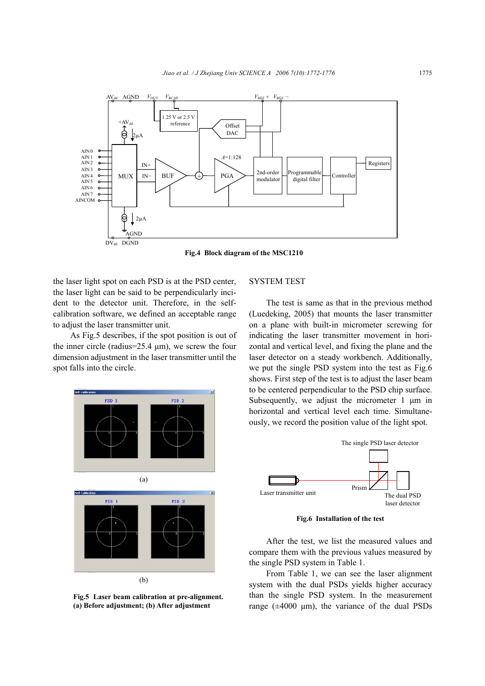

**Fig.4 Block diagram of the MSC1210**

the laser light spot on each PSD is at the PSD center, the laser light can be said to be perpendicularly incident to the detector unit. Therefore, in the selfcalibration software, we defined an acceptable range to adjust the laser transmitter unit.

As Fig.5 describes, if the spot position is out of the inner circle (radius= $25.4 \mu m$ ), we screw the four dimension adjustment in the laser transmitter until the spot falls into the circle.



**Fig.5 Laser beam calibration at pre-alignment. (a) Before adjustment; (b) After adjustment**

# SYSTEM TEST

The test is same as that in the previous method (Luedeking, 2005) that mounts the laser transmitter on a plane with built-in micrometer screwing for indicating the laser transmitter movement in horizontal and vertical level, and fixing the plane and the laser detector on a steady workbench. Additionally, we put the single PSD system into the test as Fig.6 shows. First step of the test is to adjust the laser beam to be centered perpendicular to the PSD chip surface. Subsequently, we adjust the micrometer  $1 \mu m$  in horizontal and vertical level each time. Simultaneously, we record the position value of the light spot.



**Fig.6 Installation of the test**

After the test, we list the measured values and compare them with the previous values measured by the single PSD system in Table 1.

From Table 1, we can see the laser alignment system with the dual PSDs yields higher accuracy than the single PSD system. In the measurement range  $(\pm 4000 \text{ }\mu\text{m})$ , the variance of the dual PSDs